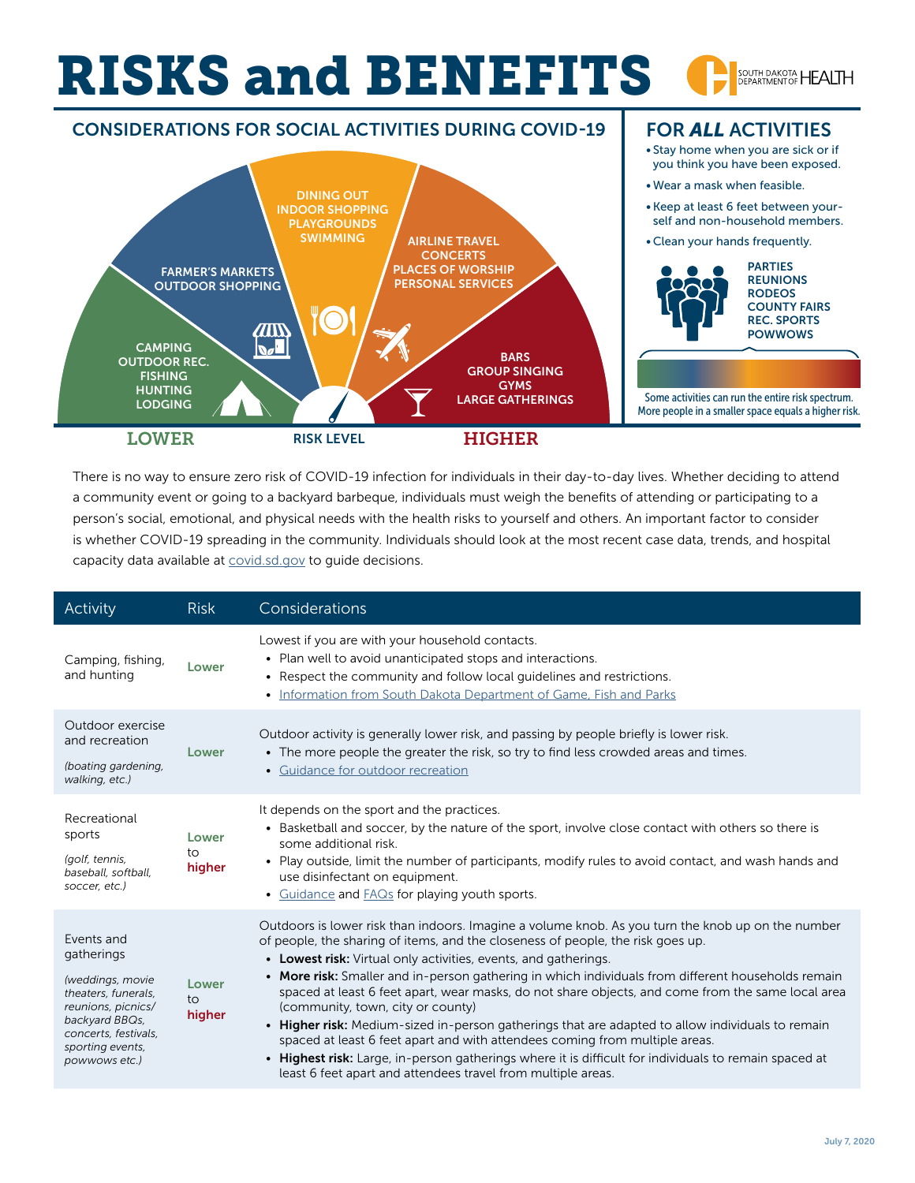## RISKS and BENEFITS SOUTH DAKOTA HEALTH





There is no way to ensure zero risk of COVID-19 infection for individuals in their day-to-day lives. Whether deciding to attend a community event or going to a backyard barbeque, individuals must weigh the benefits of attending or participating to a person's social, emotional, and physical needs with the health risks to yourself and others. An important factor to consider is whether COVID-19 spreading in the community. Individuals should look at the most recent case data, trends, and hospital capacity data available at [covid.sd.gov](https://doh.sd.gov/news/coronavirus.aspx#SD) to guide decisions.

| Activity                                                                                                                                                                 | <b>Risk</b>           | Considerations                                                                                                                                                                                                                                                                                                                                                                                                                                                                                                                                                                                                                                                                                                                                                                                                                                                      |
|--------------------------------------------------------------------------------------------------------------------------------------------------------------------------|-----------------------|---------------------------------------------------------------------------------------------------------------------------------------------------------------------------------------------------------------------------------------------------------------------------------------------------------------------------------------------------------------------------------------------------------------------------------------------------------------------------------------------------------------------------------------------------------------------------------------------------------------------------------------------------------------------------------------------------------------------------------------------------------------------------------------------------------------------------------------------------------------------|
| Camping, fishing,<br>and hunting                                                                                                                                         | Lower                 | Lowest if you are with your household contacts.<br>• Plan well to avoid unanticipated stops and interactions.<br>• Respect the community and follow local quidelines and restrictions.<br>• Information from South Dakota Department of Game, Fish and Parks                                                                                                                                                                                                                                                                                                                                                                                                                                                                                                                                                                                                        |
| Outdoor exercise<br>and recreation<br>(boating gardening,<br>walking, etc.)                                                                                              | Lower                 | Outdoor activity is generally lower risk, and passing by people briefly is lower risk.<br>• The more people the greater the risk, so try to find less crowded areas and times.<br>• Guidance for outdoor recreation                                                                                                                                                                                                                                                                                                                                                                                                                                                                                                                                                                                                                                                 |
| Recreational<br>sports<br>(golf, tennis,<br>baseball, softball,<br>soccer, etc.)                                                                                         | Lower<br>to<br>higher | It depends on the sport and the practices.<br>• Basketball and soccer, by the nature of the sport, involve close contact with others so there is<br>some additional risk.<br>• Play outside, limit the number of participants, modify rules to avoid contact, and wash hands and<br>use disinfectant on equipment.<br>• Guidance and FAQs for playing youth sports.                                                                                                                                                                                                                                                                                                                                                                                                                                                                                                 |
| Events and<br>gatherings<br>(weddings, movie<br>theaters, funerals,<br>reunions, picnics/<br>backyard BBQs,<br>concerts, festivals,<br>sporting events,<br>powwows etc.) | Lower<br>to<br>higher | Outdoors is lower risk than indoors. Imagine a volume knob. As you turn the knob up on the number<br>of people, the sharing of items, and the closeness of people, the risk goes up.<br>• Lowest risk: Virtual only activities, events, and gatherings.<br>• More risk: Smaller and in-person gathering in which individuals from different households remain<br>spaced at least 6 feet apart, wear masks, do not share objects, and come from the same local area<br>(community, town, city or county)<br>• Higher risk: Medium-sized in-person gatherings that are adapted to allow individuals to remain<br>spaced at least 6 feet apart and with attendees coming from multiple areas.<br>. Highest risk: Large, in-person gatherings where it is difficult for individuals to remain spaced at<br>least 6 feet apart and attendees travel from multiple areas. |

FOR *ALL* ACTIVITIES